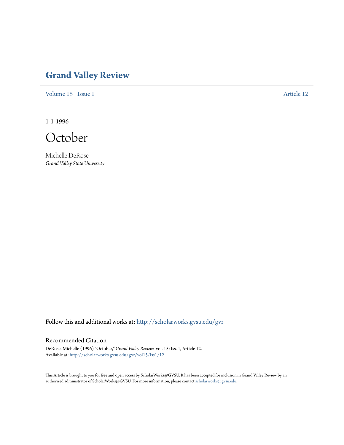## **[Grand Valley Review](http://scholarworks.gvsu.edu/gvr?utm_source=scholarworks.gvsu.edu%2Fgvr%2Fvol15%2Fiss1%2F12&utm_medium=PDF&utm_campaign=PDFCoverPages)**

[Volume 15](http://scholarworks.gvsu.edu/gvr/vol15?utm_source=scholarworks.gvsu.edu%2Fgvr%2Fvol15%2Fiss1%2F12&utm_medium=PDF&utm_campaign=PDFCoverPages) | [Issue 1](http://scholarworks.gvsu.edu/gvr/vol15/iss1?utm_source=scholarworks.gvsu.edu%2Fgvr%2Fvol15%2Fiss1%2F12&utm_medium=PDF&utm_campaign=PDFCoverPages) [Article 12](http://scholarworks.gvsu.edu/gvr/vol15/iss1/12?utm_source=scholarworks.gvsu.edu%2Fgvr%2Fvol15%2Fiss1%2F12&utm_medium=PDF&utm_campaign=PDFCoverPages)

1-1-1996

October

Michelle DeRose *Grand Valley State University*

Follow this and additional works at: [http://scholarworks.gvsu.edu/gvr](http://scholarworks.gvsu.edu/gvr?utm_source=scholarworks.gvsu.edu%2Fgvr%2Fvol15%2Fiss1%2F12&utm_medium=PDF&utm_campaign=PDFCoverPages)

## Recommended Citation

DeRose, Michelle (1996) "October," *Grand Valley Review*: Vol. 15: Iss. 1, Article 12. Available at: [http://scholarworks.gvsu.edu/gvr/vol15/iss1/12](http://scholarworks.gvsu.edu/gvr/vol15/iss1/12?utm_source=scholarworks.gvsu.edu%2Fgvr%2Fvol15%2Fiss1%2F12&utm_medium=PDF&utm_campaign=PDFCoverPages)

This Article is brought to you for free and open access by ScholarWorks@GVSU. It has been accepted for inclusion in Grand Valley Review by an authorized administrator of ScholarWorks@GVSU. For more information, please contact [scholarworks@gvsu.edu.](mailto:scholarworks@gvsu.edu)